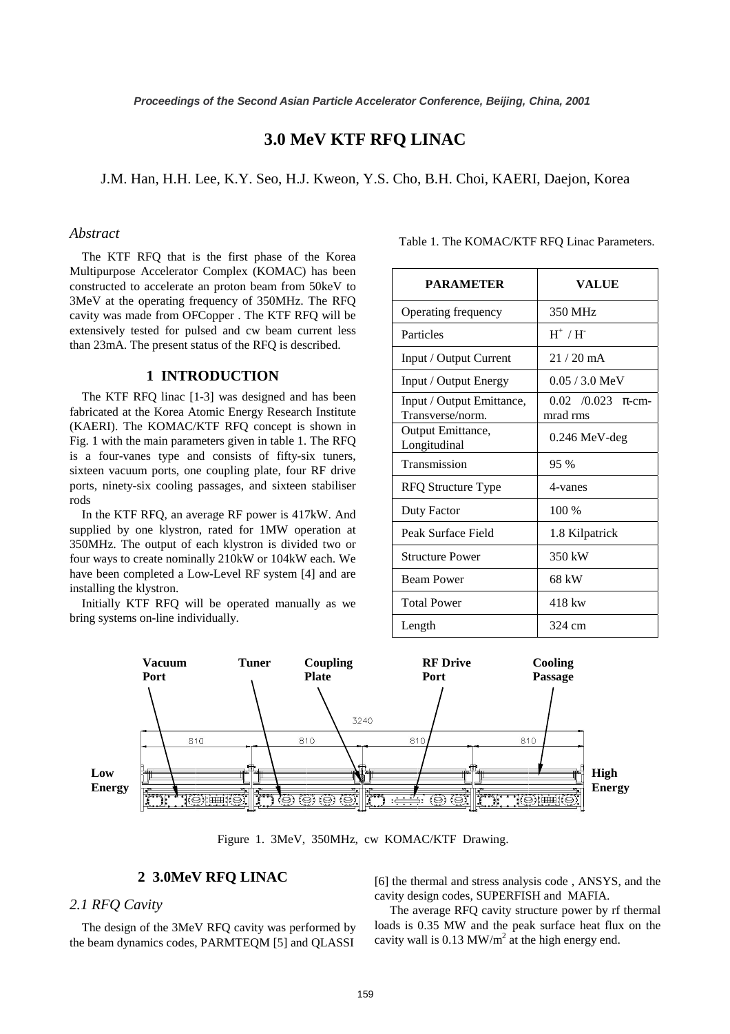# **3.0 MeV KTF RFQ LINAC**

J.M. Han, H.H. Lee, K.Y. Seo, H.J. Kweon, Y.S. Cho, B.H. Choi, KAERI, Daejon, Korea

### *Abstract*

The KTF RFQ that is the first phase of the Korea Multipurpose Accelerator Complex (KOMAC) has been constructed to accelerate an proton beam from 50keV to 3MeV at the operating frequency of 350MHz. The RFQ cavity was made from OFCopper . The KTF RFQ will be extensively tested for pulsed and cw beam current less than 23mA. The present status of the RFQ is described.

#### **1 INTRODUCTION**

The KTF RFQ linac [1-3] was designed and has been fabricated at the Korea Atomic Energy Research Institute (KAERI). The KOMAC/KTF RFQ concept is shown in Fig. 1 with the main parameters given in table 1. The RFQ is a four-vanes type and consists of fifty-six tuners, sixteen vacuum ports, one coupling plate, four RF drive ports, ninety-six cooling passages, and sixteen stabiliser rods

In the KTF RFQ, an average RF power is 417kW. And supplied by one klystron, rated for 1MW operation at 350MHz. The output of each klystron is divided two or four ways to create nominally 210kW or 104kW each. We have been completed a Low-Level RF system [4] and are installing the klystron.

Initially KTF RFQ will be operated manually as we bring systems on-line individually.

| <b>PARAMETER</b>                              | <b>VALUE</b>                                 |
|-----------------------------------------------|----------------------------------------------|
| Operating frequency                           | 350 MHz                                      |
| Particles                                     | $H^+$ / $H^-$                                |
| Input / Output Current                        | $21/20$ mA                                   |
| Input / Output Energy                         | $0.05 / 3.0$ MeV                             |
| Input / Output Emittance,<br>Transverse/norm. | $0.02 \quad 0.023$<br>$\pi$ -cm-<br>mrad rms |
| Output Emittance,<br>Longitudinal             | 0.246 MeV-deg                                |
| Transmission                                  | 95 %                                         |
| <b>RFQ Structure Type</b>                     | 4-vanes                                      |
| Duty Factor                                   | 100 %                                        |
| Peak Surface Field                            | 1.8 Kilpatrick                               |
| <b>Structure Power</b>                        | 350 kW                                       |
| <b>Beam Power</b>                             | 68 kW                                        |
| <b>Total Power</b>                            | 418 kw                                       |
| Length                                        | 324 cm                                       |

Table 1. The KOMAC/KTF RFQ Linac Parameters.



Figure 1. 3MeV, 350MHz, cw KOMAC/KTF Drawing.

#### **2 3.0MeV RFQ LINAC**

### *2.1 RFQ Cavity*

The design of the 3MeV RFQ cavity was performed by the beam dynamics codes, PARMTEQM [5] and QLASSI

[6] the thermal and stress analysis code , ANSYS, and the cavity design codes, SUPERFISH and MAFIA.

 The average RFQ cavity structure power by rf thermal loads is 0.35 MW and the peak surface heat flux on the cavity wall is 0.13 MW/ $m<sup>2</sup>$  at the high energy end.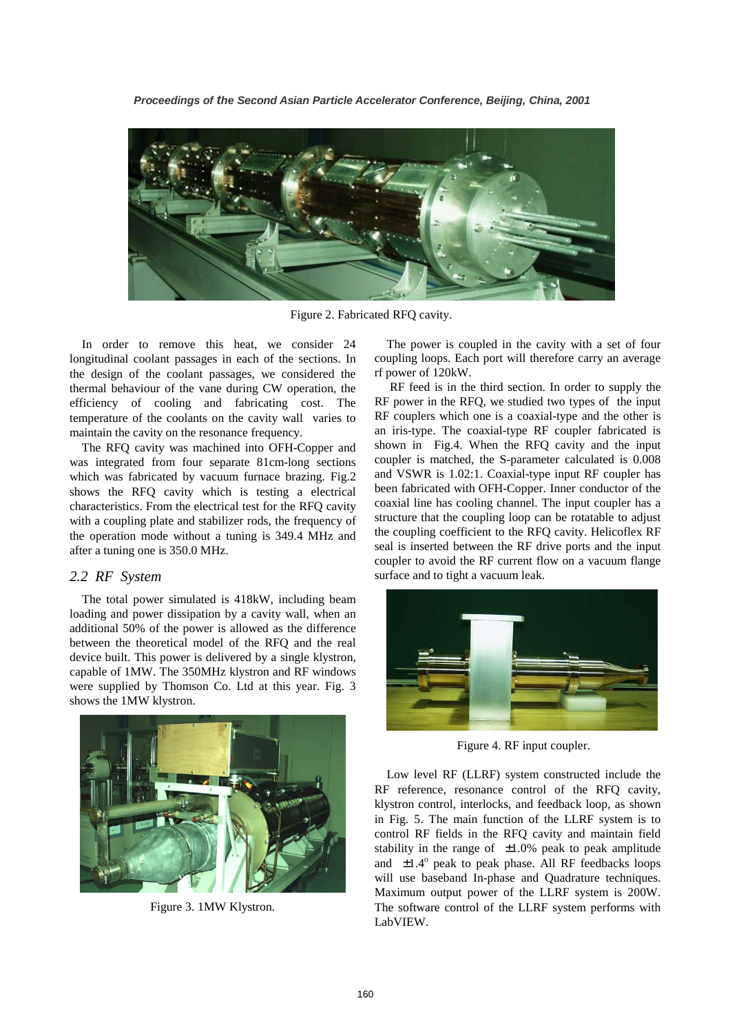

Figure 2. Fabricated RFQ cavity.

In order to remove this heat, we consider 24 longitudinal coolant passages in each of the sections. In the design of the coolant passages, we considered the thermal behaviour of the vane during CW operation, the efficiency of cooling and fabricating cost. The temperature of the coolants on the cavity wall varies to maintain the cavity on the resonance frequency.

The RFQ cavity was machined into OFH-Copper and was integrated from four separate 81cm-long sections which was fabricated by vacuum furnace brazing. Fig.2 shows the RFQ cavity which is testing a electrical characteristics. From the electrical test for the RFQ cavity with a coupling plate and stabilizer rods, the frequency of the operation mode without a tuning is 349.4 MHz and after a tuning one is 350.0 MHz.

### *2.2 RF System*

 The total power simulated is 418kW, including beam loading and power dissipation by a cavity wall, when an additional 50% of the power is allowed as the difference between the theoretical model of the RFQ and the real device built. This power is delivered by a single klystron, capable of 1MW. The 350MHz klystron and RF windows were supplied by Thomson Co. Ltd at this year. Fig. 3 shows the 1MW klystron.



Figure 3. 1MW Klystron.

The power is coupled in the cavity with a set of four coupling loops. Each port will therefore carry an average rf power of 120kW.

 RF feed is in the third section. In order to supply the RF power in the RFQ, we studied two types of the input RF couplers which one is a coaxial-type and the other is an iris-type. The coaxial-type RF coupler fabricated is shown in Fig.4. When the RFQ cavity and the input coupler is matched, the S-parameter calculated is 0.008 and VSWR is 1.02:1. Coaxial-type input RF coupler has been fabricated with OFH-Copper. Inner conductor of the coaxial line has cooling channel. The input coupler has a structure that the coupling loop can be rotatable to adjust the coupling coefficient to the RFQ cavity. Helicoflex RF seal is inserted between the RF drive ports and the input coupler to avoid the RF current flow on a vacuum flange surface and to tight a vacuum leak.



Figure 4. RF input coupler.

Low level RF (LLRF) system constructed include the RF reference, resonance control of the RFQ cavity, klystron control, interlocks, and feedback loop, as shown in Fig. 5. The main function of the LLRF system is to control RF fields in the RFQ cavity and maintain field stability in the range of  $\pm 1.0\%$  peak to peak amplitude and  $\pm 1.4^\circ$  peak to peak phase. All RF feedbacks loops will use baseband In-phase and Quadrature techniques. Maximum output power of the LLRF system is 200W. The software control of the LLRF system performs with LabVIEW.